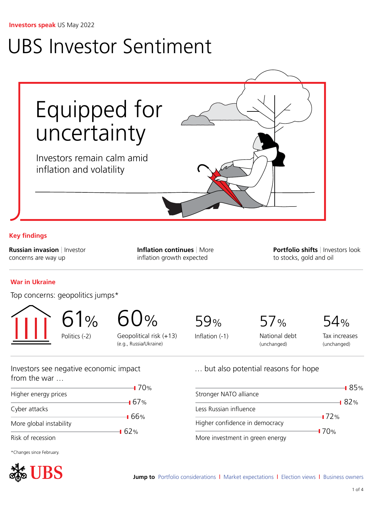# <span id="page-0-0"></span>UBS Investor Sentiment



## **Key findings**

**Russian invasion** | Investor concerns are way up

**Inflation continues** | More inflation growth expected

**Portfolio shifts** | Investors look to stocks, gold and oil

## **War in Ukraine**

Top concerns: geopolitics jumps\*

61% Politics (-2)

 $\frac{0}{0}$ Geopolitical risk (+13) (e.g., Russia/Ukraine)

70%

 $-167%$ 

66%

62%

59%

Inflation (-1)

Stronger NATO alliance

Less Russian influence

Higher confidence in democracy

More investment in green energy

57%

… but also potential reasons for hope

54%

National debt (unchanged)

Tax increases (unchanged)

85%

 $-182%$ 

 $-172%$ 

70%

Investors see negative economic impact from the war …

Higher energy prices

Cyber attacks

More global instability

Risk of recession

\*Changes since February.

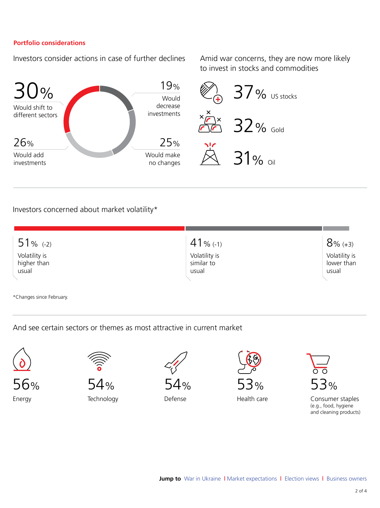### <span id="page-1-0"></span>**Portfolio considerations**

Investors consider actions in case of further declines Amid war concerns, they are now more likely

to invest in stocks and commodities



## Investors concerned about market volatility\*

| $51%$ (-2)                            | $41$ % (-1)                          | $8% (+3)$                            |
|---------------------------------------|--------------------------------------|--------------------------------------|
| Volatility is<br>higher than<br>usual | Volatility is<br>similar to<br>usual | Volatility is<br>lower than<br>usual |
|                                       |                                      |                                      |

\*Changes since February.

And see certain sectors or themes as most attractive in current market



56% Energy



Technology



Defense



Health care

| ℅ |  |
|---|--|

Consumer staples (e.g., food, hygiene and cleaning products)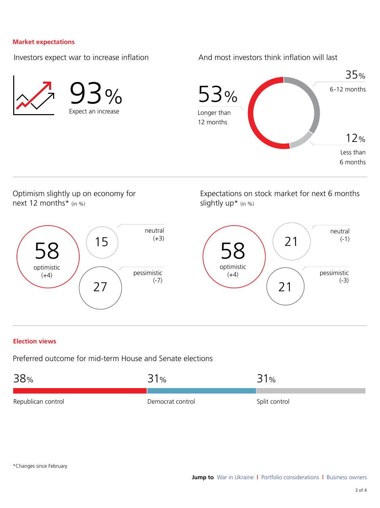#### <span id="page-2-0"></span>**Market expectations**

Investors expect war to increase inflation

And most investors think inflation will last



Optimism slightly up on economy for next 12 months\* (in %)



Expectations on stock market for next 6 months slightly up\* (in %)



#### **Election views**

Preferred outcome for mid-term House and Senate elections